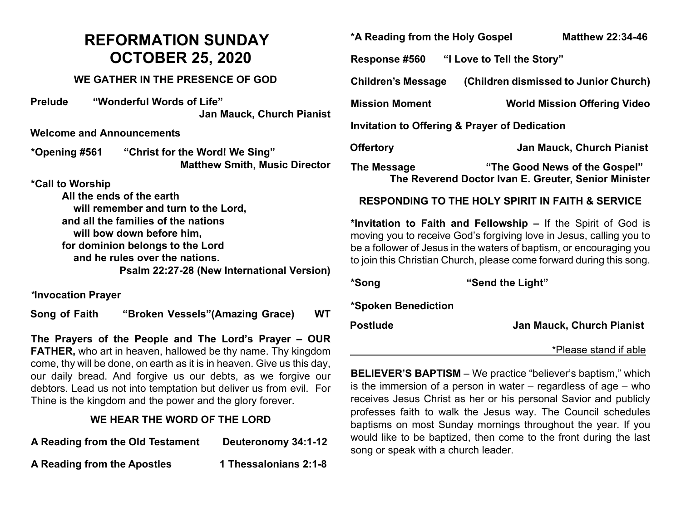# **REFORMATION SUNDAY OCTOBER 25, 2020**

#### **WE GATHER IN THE PRESENCE OF GOD**

**Prelude "Wonderful Words of Life" Jan Mauck, Church Pianist**

**Welcome and Announcements** 

**\*Opening #561 "Christ for the Word! We Sing" Matthew Smith, Music Director** 

**\*Call to Worship**

**All the ends of the earth will remember and turn to the Lord, and all the families of the nations will bow down before him, for dominion belongs to the Lord and he rules over the nations. Psalm 22:27-28 (New International Version)**

*\****Invocation Prayer**

**Song of Faith "Broken Vessels"(Amazing Grace) WT**

**The Prayers of the People and The Lord's Prayer – OUR FATHER,** who art in heaven, hallowed be thy name. Thy kingdom come, thy will be done, on earth as it is in heaven. Give us this day, our daily bread. And forgive us our debts, as we forgive our debtors. Lead us not into temptation but deliver us from evil. For Thine is the kingdom and the power and the glory forever.

## **WE HEAR THE WORD OF THE LORD**

| A Reading from the Old Testament | Deuteronomy 34:1-12 |
|----------------------------------|---------------------|
|                                  |                     |

**A Reading from the Apostles 1 Thessalonians 2:1-8**

**\*A Reading from the Holy Gospel Matthew 22:34-46**

**Response #560 "I Love to Tell the Story"** 

**Children's Message (Children dismissed to Junior Church)**

**Mission Moment World Mission Offering Video**

**Invitation to Offering & Prayer of Dedication**

**Offertory Jan Mauck, Church Pianist**

**The Message "The Good News of the Gospel" The Reverend Doctor Ivan E. Greuter, Senior Minister**

### **RESPONDING TO THE HOLY SPIRIT IN FAITH & SERVICE**

**\*Invitation to Faith and Fellowship –** If the Spirit of God is moving you to receive God's forgiving love in Jesus, calling you to be a follower of Jesus in the waters of baptism, or encouraging you to join this Christian Church, please come forward during this song.

**\*Song "Send the Light" \*Spoken Benediction Postlude Jan Mauck, Church Pianist** \*Please stand if able

**BELIEVER'S BAPTISM** – We practice "believer's baptism," which is the immersion of a person in water  $-$  regardless of age  $-$  who receives Jesus Christ as her or his personal Savior and publicly professes faith to walk the Jesus way. The Council schedules baptisms on most Sunday mornings throughout the year. If you would like to be baptized, then come to the front during the last song or speak with a church leader.